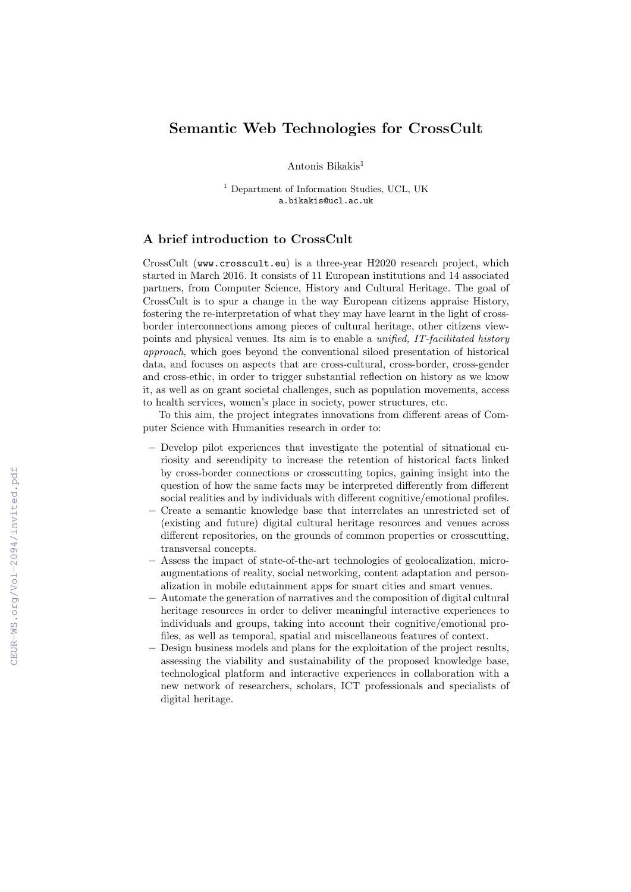## Semantic Web Technologies for CrossCult

Antonis Bikakis<sup>1</sup>

<sup>1</sup> Department of Information Studies, UCL, UK a.bikakis@ucl.ac.uk

## A brief introduction to CrossCult

CrossCult (www.crosscult.eu) is a three-year H2020 research project, which started in March 2016. It consists of 11 European institutions and 14 associated partners, from Computer Science, History and Cultural Heritage. The goal of CrossCult is to spur a change in the way European citizens appraise History, fostering the re-interpretation of what they may have learnt in the light of crossborder interconnections among pieces of cultural heritage, other citizens viewpoints and physical venues. Its aim is to enable a unified, IT-facilitated history approach, which goes beyond the conventional siloed presentation of historical data, and focuses on aspects that are cross-cultural, cross-border, cross-gender and cross-ethic, in order to trigger substantial reflection on history as we know it, as well as on grant societal challenges, such as population movements, access to health services, women's place in society, power structures, etc.

To this aim, the project integrates innovations from different areas of Computer Science with Humanities research in order to:

- Develop pilot experiences that investigate the potential of situational curiosity and serendipity to increase the retention of historical facts linked by cross-border connections or crosscutting topics, gaining insight into the question of how the same facts may be interpreted differently from different social realities and by individuals with different cognitive/emotional profiles.
- Create a semantic knowledge base that interrelates an unrestricted set of (existing and future) digital cultural heritage resources and venues across different repositories, on the grounds of common properties or crosscutting, transversal concepts.
- Assess the impact of state-of-the-art technologies of geolocalization, microaugmentations of reality, social networking, content adaptation and personalization in mobile edutainment apps for smart cities and smart venues.
- Automate the generation of narratives and the composition of digital cultural heritage resources in order to deliver meaningful interactive experiences to individuals and groups, taking into account their cognitive/emotional profiles, as well as temporal, spatial and miscellaneous features of context.
- Design business models and plans for the exploitation of the project results, assessing the viability and sustainability of the proposed knowledge base, technological platform and interactive experiences in collaboration with a new network of researchers, scholars, ICT professionals and specialists of digital heritage.